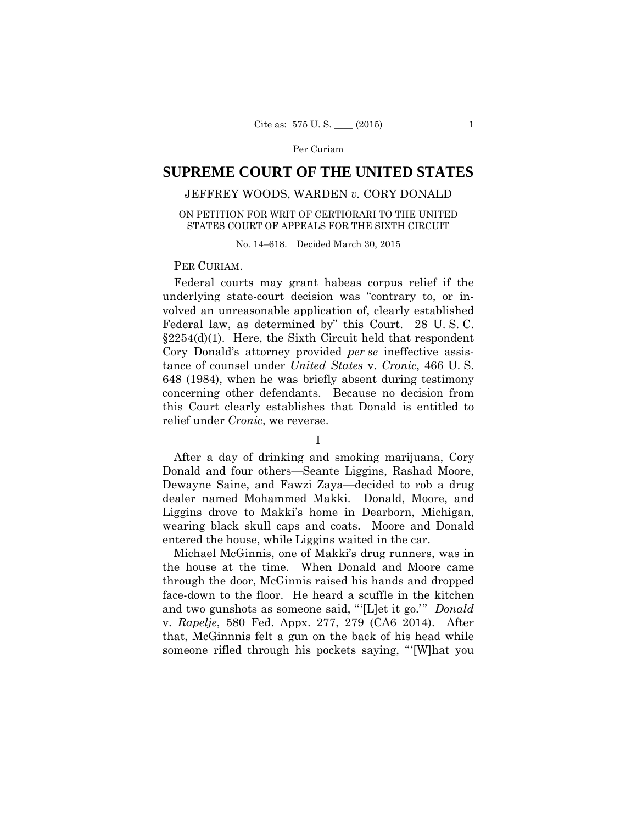# **SUPREME COURT OF THE UNITED STATES**

# JEFFREY WOODS, WARDEN *v.* CORY DONALD

## ON PETITION FOR WRIT OF CERTIORARI TO THE UNITED STATES COURT OF APPEALS FOR THE SIXTH CIRCUIT

No. 14–618. Decided March 30, 2015

## PER CURIAM.

Federal courts may grant habeas corpus relief if the underlying state-court decision was "contrary to, or involved an unreasonable application of, clearly established Federal law, as determined by" this Court. 28 U. S. C.  $§2254(d)(1)$ . Here, the Sixth Circuit held that respondent Cory Donald's attorney provided *per se* ineffective assistance of counsel under *United States* v. *Cronic*, 466 U. S. 648 (1984), when he was briefly absent during testimony concerning other defendants. Because no decision from this Court clearly establishes that Donald is entitled to relief under *Cronic*, we reverse.

## I

After a day of drinking and smoking marijuana, Cory Donald and four others—Seante Liggins, Rashad Moore, Dewayne Saine, and Fawzi Zaya—decided to rob a drug dealer named Mohammed Makki. Donald, Moore, and Liggins drove to Makki's home in Dearborn, Michigan, wearing black skull caps and coats. Moore and Donald entered the house, while Liggins waited in the car.

Michael McGinnis, one of Makki's drug runners, was in the house at the time. When Donald and Moore came through the door, McGinnis raised his hands and dropped face-down to the floor. He heard a scuffle in the kitchen and two gunshots as someone said, "'[L]et it go.'" *Donald*  v. *Rapelje*, 580 Fed. Appx. 277, 279 (CA6 2014). After that, McGinnnis felt a gun on the back of his head while someone rifled through his pockets saying, "'[W]hat you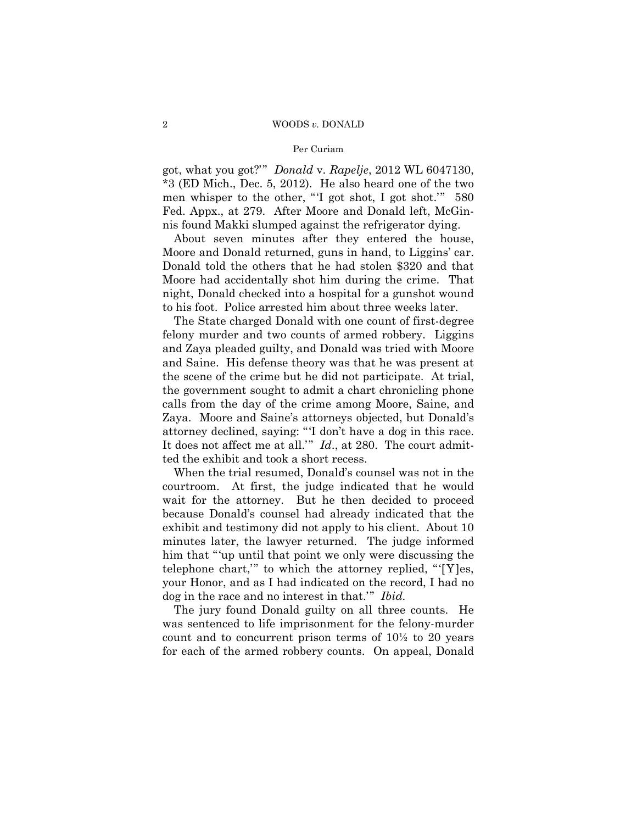#### 2 WOODS *v.* DONALD

#### Per Curiam

got, what you got?'" *Donald* v. *Rapelje*, 2012 WL 6047130, \*3 (ED Mich., Dec. 5, 2012). He also heard one of the two men whisper to the other, "'I got shot, I got shot.'" 580 Fed. Appx., at 279. After Moore and Donald left, McGinnis found Makki slumped against the refrigerator dying.

About seven minutes after they entered the house, Moore and Donald returned, guns in hand, to Liggins' car. Donald told the others that he had stolen \$320 and that Moore had accidentally shot him during the crime. That night, Donald checked into a hospital for a gunshot wound to his foot. Police arrested him about three weeks later.

The State charged Donald with one count of first-degree felony murder and two counts of armed robbery. Liggins and Zaya pleaded guilty, and Donald was tried with Moore and Saine. His defense theory was that he was present at the scene of the crime but he did not participate. At trial, the government sought to admit a chart chronicling phone calls from the day of the crime among Moore, Saine, and Zaya. Moore and Saine's attorneys objected, but Donald's attorney declined, saying: "'I don't have a dog in this race. It does not affect me at all.'" *Id*., at 280. The court admitted the exhibit and took a short recess.

 telephone chart,'" to which the attorney replied, "'[Y]es, When the trial resumed, Donald's counsel was not in the courtroom. At first, the judge indicated that he would wait for the attorney. But he then decided to proceed because Donald's counsel had already indicated that the exhibit and testimony did not apply to his client. About 10 minutes later, the lawyer returned. The judge informed him that "'up until that point we only were discussing the your Honor, and as I had indicated on the record, I had no dog in the race and no interest in that.'" *Ibid.* 

The jury found Donald guilty on all three counts. He was sentenced to life imprisonment for the felony-murder count and to concurrent prison terms of 10½ to 20 years for each of the armed robbery counts. On appeal, Donald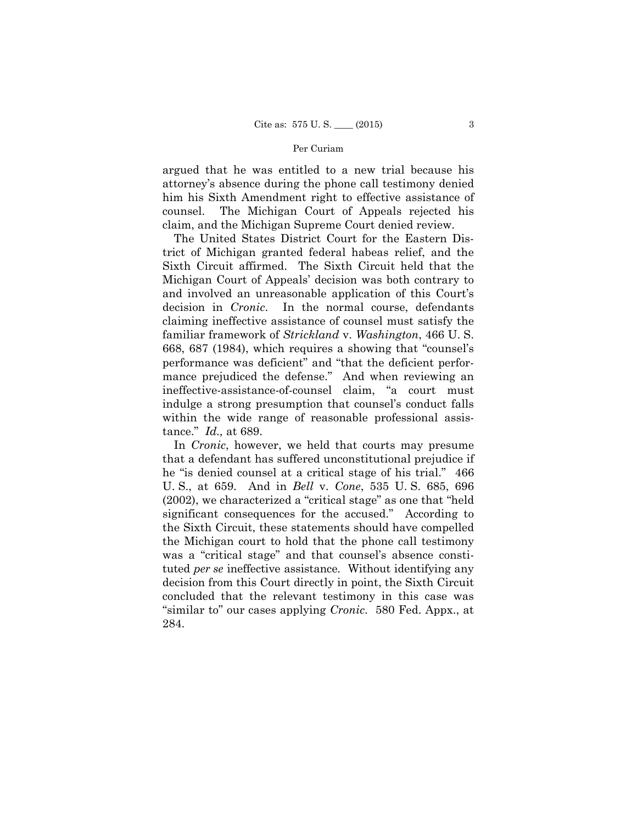argued that he was entitled to a new trial because his attorney's absence during the phone call testimony denied him his Sixth Amendment right to effective assistance of counsel. The Michigan Court of Appeals rejected his claim, and the Michigan Supreme Court denied review.

The United States District Court for the Eastern District of Michigan granted federal habeas relief, and the Sixth Circuit affirmed. The Sixth Circuit held that the Michigan Court of Appeals' decision was both contrary to and involved an unreasonable application of this Court's decision in *Cronic*. In the normal course, defendants claiming ineffective assistance of counsel must satisfy the familiar framework of *Strickland* v. *Washington*, 466 U. S. 668, 687 (1984), which requires a showing that "counsel's performance was deficient" and "that the deficient performance prejudiced the defense." And when reviewing an ineffective-assistance-of-counsel claim, "a court must indulge a strong presumption that counsel's conduct falls within the wide range of reasonable professional assistance." *Id.,* at 689.

In *Cronic*, however, we held that courts may presume that a defendant has suffered unconstitutional prejudice if he "is denied counsel at a critical stage of his trial." 466 U. S., at 659. And in *Bell* v. *Cone*, 535 U. S. 685, 696 (2002), we characterized a "critical stage" as one that "held significant consequences for the accused." According to the Sixth Circuit, these statements should have compelled the Michigan court to hold that the phone call testimony was a "critical stage" and that counsel's absence constituted *per se* ineffective assistance. Without identifying any decision from this Court directly in point, the Sixth Circuit concluded that the relevant testimony in this case was "similar to" our cases applying *Cronic*. 580 Fed. Appx., at 284.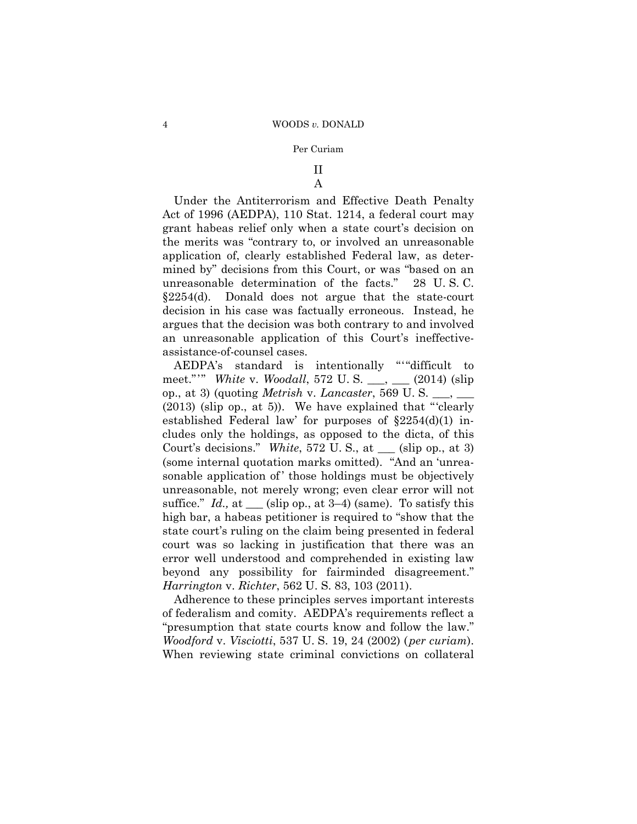# II

# A

Under the Antiterrorism and Effective Death Penalty Act of 1996 (AEDPA), 110 Stat. 1214, a federal court may grant habeas relief only when a state court's decision on the merits was "contrary to, or involved an unreasonable application of, clearly established Federal law, as determined by" decisions from this Court, or was "based on an unreasonable determination of the facts." 28 U. S. C. §2254(d). Donald does not argue that the state-court decision in his case was factually erroneous. Instead, he argues that the decision was both contrary to and involved an unreasonable application of this Court's ineffectiveassistance-of-counsel cases.

 AEDPA's standard is intentionally "'"difficult to meet."'" *White* v. *Woodall*, 572 U. S. \_\_\_, \_\_\_ (2014) (slip op., at 3) (quoting *Metrish* v. *Lancaster*, 569 U. S. \_\_\_, \_\_\_ (2013) (slip op., at 5)). We have explained that "'clearly established Federal law' for purposes of §2254(d)(1) includes only the holdings, as opposed to the dicta, of this Court's decisions." *White*, 572 U. S., at \_\_\_ (slip op., at 3) (some internal quotation marks omitted). "And an 'unreasonable application of those holdings must be objectively unreasonable, not merely wrong; even clear error will not suffice." *Id.,* at \_\_\_ (slip op., at 3–4) (same). To satisfy this high bar, a habeas petitioner is required to "show that the state court's ruling on the claim being presented in federal court was so lacking in justification that there was an error well understood and comprehended in existing law beyond any possibility for fairminded disagreement." *Harrington* v. *Richter*, 562 U. S. 83, 103 (2011).

Adherence to these principles serves important interests of federalism and comity. AEDPA's requirements reflect a "presumption that state courts know and follow the law." *Woodford* v. *Visciotti*, 537 U. S. 19, 24 (2002) (*per curiam*). When reviewing state criminal convictions on collateral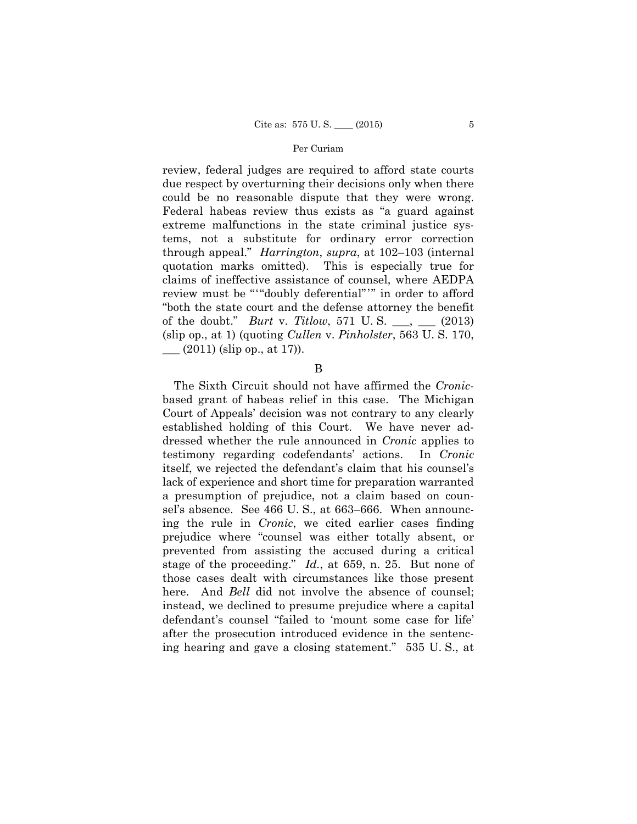review must be "'"doubly deferential"'" in order to afford review, federal judges are required to afford state courts due respect by overturning their decisions only when there could be no reasonable dispute that they were wrong. Federal habeas review thus exists as "a guard against extreme malfunctions in the state criminal justice systems, not a substitute for ordinary error correction through appeal." *Harrington*, *supra*, at 102–103 (internal quotation marks omitted). This is especially true for claims of ineffective assistance of counsel, where AEDPA "both the state court and the defense attorney the benefit of the doubt." *Burt* v. *Titlow*, 571 U. S. \_\_\_, \_\_\_ (2013) (slip op., at 1) (quoting *Cullen* v. *Pinholster*, 563 U. S. 170,  $\frac{1}{2}$  (2011) (slip op., at 17).

#### B

The Sixth Circuit should not have affirmed the *Cronic*based grant of habeas relief in this case. The Michigan Court of Appeals' decision was not contrary to any clearly established holding of this Court. We have never addressed whether the rule announced in *Cronic* applies to testimony regarding codefendants' actions. In *Cronic*  itself, we rejected the defendant's claim that his counsel's lack of experience and short time for preparation warranted a presumption of prejudice, not a claim based on counsel's absence. See 466 U. S., at 663–666. When announcing the rule in *Cronic*, we cited earlier cases finding prejudice where "counsel was either totally absent, or prevented from assisting the accused during a critical stage of the proceeding." *Id.*, at 659, n. 25. But none of those cases dealt with circumstances like those present here. And *Bell* did not involve the absence of counsel; instead, we declined to presume prejudice where a capital defendant's counsel "failed to 'mount some case for life' after the prosecution introduced evidence in the sentencing hearing and gave a closing statement." 535 U. S., at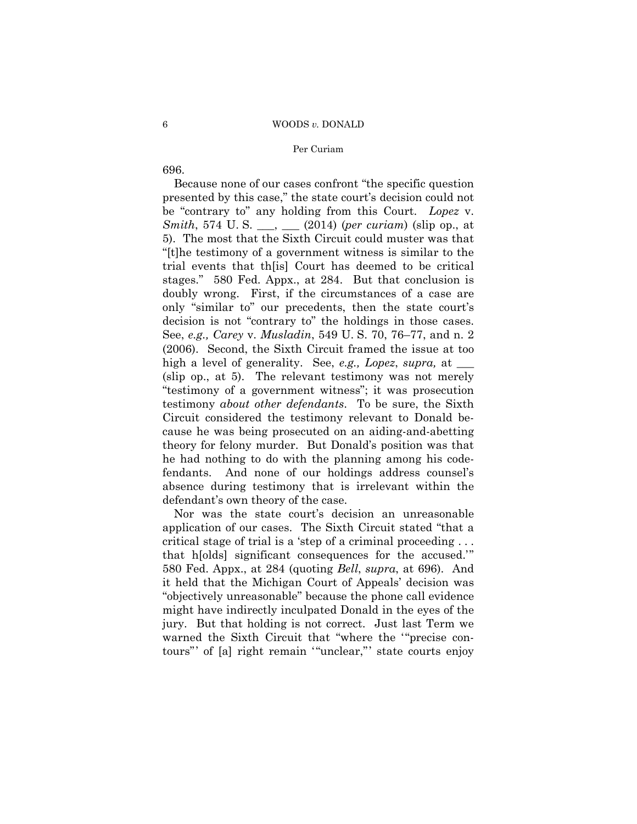#### 6 WOODS *v.* DONALD

## Per Curiam

696.

Because none of our cases confront "the specific question presented by this case," the state court's decision could not be "contrary to" any holding from this Court. *Lopez* v. *Smith*, 574 U. S. \_\_\_, \_\_\_ (2014) (*per curiam*) (slip op., at 5). The most that the Sixth Circuit could muster was that "[t]he testimony of a government witness is similar to the trial events that th[is] Court has deemed to be critical stages." 580 Fed. Appx., at 284. But that conclusion is doubly wrong. First, if the circumstances of a case are only "similar to" our precedents, then the state court's decision is not "contrary to" the holdings in those cases. See, *e.g., Carey* v. *Musladin*, 549 U. S. 70, 76–77, and n. 2 (2006). Second, the Sixth Circuit framed the issue at too high a level of generality. See, *e.g., Lopez*, *supra*, at \_\_\_\_ (slip op., at 5). The relevant testimony was not merely "testimony of a government witness"; it was prosecution testimony *about other defendants*. To be sure, the Sixth Circuit considered the testimony relevant to Donald because he was being prosecuted on an aiding-and-abetting theory for felony murder. But Donald's position was that he had nothing to do with the planning among his codefendants. And none of our holdings address counsel's absence during testimony that is irrelevant within the defendant's own theory of the case.

Nor was the state court's decision an unreasonable application of our cases. The Sixth Circuit stated "that a critical stage of trial is a 'step of a criminal proceeding . . . that h[olds] significant consequences for the accused.'" 580 Fed. Appx., at 284 (quoting *Bell*, *supra*, at 696). And it held that the Michigan Court of Appeals' decision was "objectively unreasonable" because the phone call evidence might have indirectly inculpated Donald in the eyes of the jury. But that holding is not correct. Just last Term we warned the Sixth Circuit that "where the '"precise contours"' of [a] right remain '"unclear,"' state courts enjoy